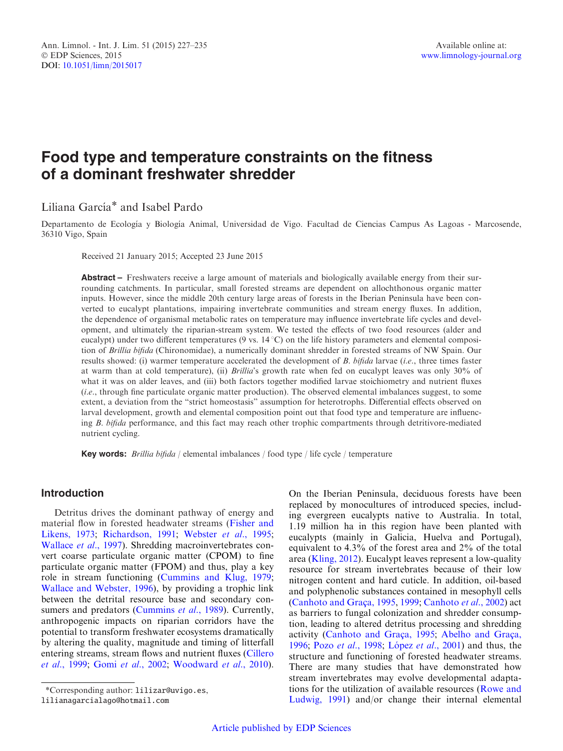# Food type and temperature constraints on the fitness of a dominant freshwater shredder

Liliana García<sup>\*</sup> and Isabel Pardo

Departamento de Ecología y Biología Animal, Universidad de Vigo. Facultad de Ciencias Campus As Lagoas - Marcosende, 36310 Vigo, Spain

Received 21 January 2015; Accepted 23 June 2015

Abstract – Freshwaters receive a large amount of materials and biologically available energy from their surrounding catchments. In particular, small forested streams are dependent on allochthonous organic matter inputs. However, since the middle 20th century large areas of forests in the Iberian Peninsula have been converted to eucalypt plantations, impairing invertebrate communities and stream energy fluxes. In addition, the dependence of organismal metabolic rates on temperature may influence invertebrate life cycles and development, and ultimately the riparian-stream system. We tested the effects of two food resources (alder and eucalypt) under two different temperatures (9 vs.  $14^{\circ}$ C) on the life history parameters and elemental composition of Brillia bifida (Chironomidae), a numerically dominant shredder in forested streams of NW Spain. Our results showed: (i) warmer temperature accelerated the development of B. bifida larvae (i.e., three times faster at warm than at cold temperature), (ii) Brillia's growth rate when fed on eucalypt leaves was only 30% of what it was on alder leaves, and (iii) both factors together modified larvae stoichiometry and nutrient fluxes (i.e., through fine particulate organic matter production). The observed elemental imbalances suggest, to some extent, a deviation from the "strict homeostasis" assumption for heterotrophs. Differential effects observed on larval development, growth and elemental composition point out that food type and temperature are influencing B. bifida performance, and this fact may reach other trophic compartments through detritivore-mediated nutrient cycling.

Key words: Brillia bifida / elemental imbalances / food type / life cycle / temperature

## Introduction

Detritus drives the dominant pathway of energy and material flow in forested headwater streams ([Fisher and](#page-7-0) [Likens, 1973](#page-7-0); [Richardson, 1991](#page-7-0); [Webster](#page-8-0) et al., 1995; [Wallace](#page-8-0) *et al.*, 1997). Shredding macroinvertebrates convert coarse particulate organic matter (CPOM) to fine particulate organic matter (FPOM) and thus, play a key role in stream functioning [\(Cummins and Klug, 1979;](#page-7-0) [Wallace and Webster, 1996\)](#page-8-0), by providing a trophic link between the detrital resource base and secondary con-sumers and predators ([Cummins](#page-7-0) et al., 1989). Currently, anthropogenic impacts on riparian corridors have the potential to transform freshwater ecosystems dramatically by altering the quality, magnitude and timing of litterfall entering streams, stream flows and nutrient fluxes ([Cillero](#page-7-0) et al[., 1999](#page-7-0); Gomi et al[., 2002](#page-7-0); [Woodward](#page-8-0) et al., 2010).

On the Iberian Peninsula, deciduous forests have been replaced by monocultures of introduced species, including evergreen eucalypts native to Australia. In total, 1.19 million ha in this region have been planted with eucalypts (mainly in Galicia, Huelva and Portugal), equivalent to 4.3% of the forest area and 2% of the total area [\(Kling, 2012](#page-7-0)). Eucalypt leaves represent a low-quality resource for stream invertebrates because of their low nitrogen content and hard cuticle. In addition, oil-based and polyphenolic substances contained in mesophyll cells (Canhoto and Graça, 1995, [1999](#page-6-0); [Canhoto](#page-6-0)  $et$   $al$ , 2002) act as barriers to fungal colonization and shredder consumption, leading to altered detritus processing and shredding activity (Canhoto and Graça, 1995; Abelho and Graça, [1996;](#page-6-0) Pozo *et al.*, 1998; López *et al.*, 2001) and thus, the structure and functioning of forested headwater streams. There are many studies that have demonstrated how stream invertebrates may evolve developmental adaptations for the utilization of available resources ([Rowe and](#page-7-0) [Ludwig, 1991\)](#page-7-0) and/or change their internal elemental

<sup>\*</sup>Corresponding author: lilizar@uvigo.es,

lilianagarcialago@hotmail.com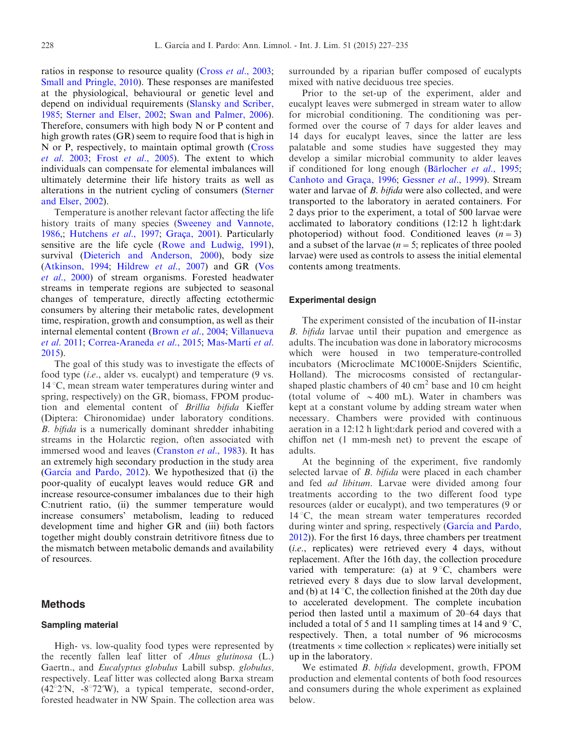ratios in response to resource quality (Cross *et al.*, 2003; [Small and Pringle, 2010](#page-7-0)). These responses are manifested at the physiological, behavioural or genetic level and depend on individual requirements ([Slansky and Scriber,](#page-7-0) [1985](#page-7-0); [Sterner and Elser, 2002](#page-8-0); [Swan and Palmer, 2006\)](#page-8-0). Therefore, consumers with high body N or P content and high growth rates (GR) seem to require food that is high in N or P, respectively, to maintain optimal growth [\(Cross](#page-7-0) et al[. 2003](#page-7-0); Frost et al[., 2005\)](#page-7-0). The extent to which individuals can compensate for elemental imbalances will ultimately determine their life history traits as well as alterations in the nutrient cycling of consumers ([Sterner](#page-8-0) [and Elser, 2002](#page-8-0)).

Temperature is another relevant factor affecting the life history traits of many species [\(Sweeney and Vannote,](#page-8-0) [1986](#page-8-0),; [Hutchens](#page-7-0) et al., 1997; Graça, 2001). Particularly sensitive are the life cycle ([Rowe and Ludwig, 1991\)](#page-7-0), survival [\(Dieterich and Anderson, 2000](#page-7-0)), body size ([Atkinson, 1994](#page-6-0); [Hildrew](#page-7-0) et al., 2007) and GR [\(Vos](#page-8-0) et al[., 2000\)](#page-8-0) of stream organisms. Forested headwater streams in temperate regions are subjected to seasonal changes of temperature, directly affecting ectothermic consumers by altering their metabolic rates, development time, respiration, growth and consumption, as well as their internal elemental content (Brown et al[., 2004;](#page-6-0) [Villanueva](#page-8-0) et al[. 2011;](#page-8-0) [Correa-Araneda](#page-7-0) et al., 2015; Mas-Martí et al. [2015](#page-7-0)).

The goal of this study was to investigate the effects of food type (i.e., alder vs. eucalypt) and temperature (9 vs.  $14 \degree C$ , mean stream water temperatures during winter and spring, respectively) on the GR, biomass, FPOM production and elemental content of Brillia bifida Kieffer (Diptera: Chironomidae) under laboratory conditions. B. bifida is a numerically dominant shredder inhabiting streams in the Holarctic region, often associated with immersed wood and leaves ([Cranston](#page-7-0) et al., 1983). It has an extremely high secondary production in the study area (García and Pardo, 2012). We hypothesized that (i) the poor-quality of eucalypt leaves would reduce GR and increase resource-consumer imbalances due to their high C:nutrient ratio, (ii) the summer temperature would increase consumers' metabolism, leading to reduced development time and higher GR and (iii) both factors together might doubly constrain detritivore fitness due to the mismatch between metabolic demands and availability of resources.

# Methods

#### Sampling material

High- vs. low-quality food types were represented by the recently fallen leaf litter of Alnus glutinosa (L.) Gaertn., and Eucalyptus globulus Labill subsp. globulus, respectively. Leaf litter was collected along Barxa stream  $(42^{\circ}2^{\prime}N, -8^{\circ}72^{\prime}W)$ , a typical temperate, second-order, forested headwater in NW Spain. The collection area was

surrounded by a riparian buffer composed of eucalypts mixed with native deciduous tree species.

Prior to the set-up of the experiment, alder and eucalypt leaves were submerged in stream water to allow for microbial conditioning. The conditioning was performed over the course of 7 days for alder leaves and 14 days for eucalypt leaves, since the latter are less palatable and some studies have suggested they may develop a similar microbial community to alder leaves if conditioned for long enough (Bärlocher et al., 1995; Canhoto and Graça, 1996; [Gessner](#page-7-0) et al., 1999). Stream water and larvae of *B. bifida* were also collected, and were transported to the laboratory in aerated containers. For 2 days prior to the experiment, a total of 500 larvae were acclimated to laboratory conditions (12:12 h light:dark photoperiod) without food. Conditioned leaves  $(n=3)$ and a subset of the larvae  $(n=5;$  replicates of three pooled larvae) were used as controls to assess the initial elemental contents among treatments.

#### Experimental design

The experiment consisted of the incubation of II-instar B. bifida larvae until their pupation and emergence as adults. The incubation was done in laboratory microcosms which were housed in two temperature-controlled incubators (Microclimate MC1000E-Snijders Scientific, Holland). The microcosms consisted of rectangularshaped plastic chambers of 40  $\text{cm}^2$  base and 10  $\text{cm}$  height (total volume of  $\sim$  400 mL). Water in chambers was kept at a constant volume by adding stream water when necessary. Chambers were provided with continuous aeration in a 12:12 h light:dark period and covered with a chiffon net (1 mm-mesh net) to prevent the escape of adults.

At the beginning of the experiment, five randomly selected larvae of *B. bifida* were placed in each chamber and fed ad libitum. Larvae were divided among four treatments according to the two different food type resources (alder or eucalypt), and two temperatures (9 or  $14\degree C$ , the mean stream water temperatures recorded during winter and spring, respectively (García and Pardo, [2012\)](#page-7-0)). For the first 16 days, three chambers per treatment (i.e., replicates) were retrieved every 4 days, without replacement. After the 16th day, the collection procedure varied with temperature: (a) at  $9^{\circ}C$ , chambers were retrieved every 8 days due to slow larval development, and (b) at  $14\degree C$ , the collection finished at the 20th day due to accelerated development. The complete incubation period then lasted until a maximum of 20–64 days that included a total of 5 and 11 sampling times at 14 and  $9^{\circ}C$ , respectively. Then, a total number of 96 microcosms (treatments  $\times$  time collection  $\times$  replicates) were initially set up in the laboratory.

We estimated *B. bifida* development, growth, FPOM production and elemental contents of both food resources and consumers during the whole experiment as explained below.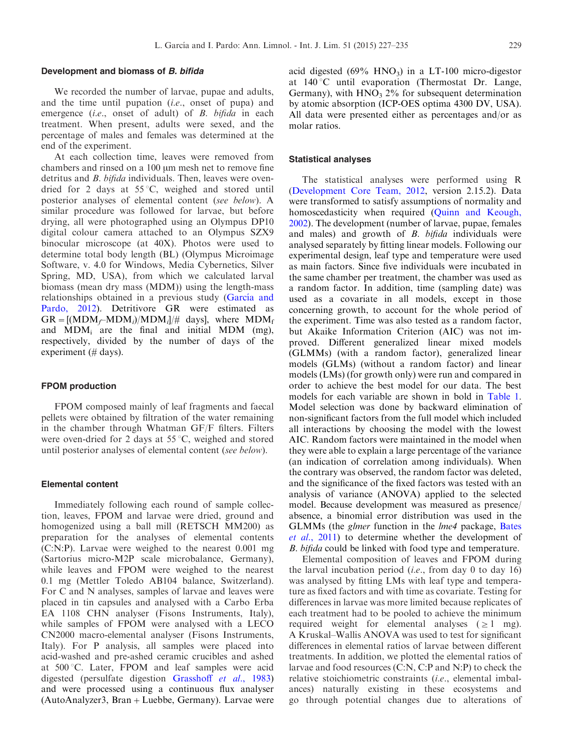#### Development and biomass of B. bifida

We recorded the number of larvae, pupae and adults, and the time until pupation (i.e., onset of pupa) and emergence (*i.e.*, onset of adult) of B. bifida in each treatment. When present, adults were sexed, and the percentage of males and females was determined at the end of the experiment.

At each collection time, leaves were removed from chambers and rinsed on a 100  $\mu$ m mesh net to remove fine detritus and *B. bifida* individuals. Then, leaves were ovendried for 2 days at  $55^{\circ}$ C, weighed and stored until posterior analyses of elemental content (see below). A similar procedure was followed for larvae, but before drying, all were photographed using an Olympus DP10 digital colour camera attached to an Olympus SZX9 binocular microscope (at 40X). Photos were used to determine total body length (BL) (Olympus Microimage Software, v. 4.0 for Windows, Media Cybernetics, Silver Spring, MD, USA), from which we calculated larval biomass (mean dry mass (MDM)) using the length-mass relationships obtained in a previous study (García and [Pardo, 2012\)](#page-7-0). Detritivore GR were estimated as  $GR = [(MDM_f-MDM_i)/MDM_i]/\#$  days], where  $MDM_f$ and  $MDM_i$  are the final and initial  $MDM$  (mg), respectively, divided by the number of days of the experiment (# days).

#### FPOM production

FPOM composed mainly of leaf fragments and faecal pellets were obtained by filtration of the water remaining in the chamber through Whatman GF/F filters. Filters were oven-dried for 2 days at  $55^{\circ}$ C, weighed and stored until posterior analyses of elemental content (see below).

# Elemental content

Immediately following each round of sample collection, leaves, FPOM and larvae were dried, ground and homogenized using a ball mill (RETSCH MM200) as preparation for the analyses of elemental contents (C:N:P). Larvae were weighed to the nearest 0.001 mg (Sartorius micro-M2P scale microbalance, Germany), while leaves and FPOM were weighed to the nearest 0.1 mg (Mettler Toledo AB104 balance, Switzerland). For C and N analyses, samples of larvae and leaves were placed in tin capsules and analysed with a Carbo Erba EA 1108 CHN analyser (Fisons Instruments, Italy), while samples of FPOM were analysed with a LECO CN2000 macro-elemental analyser (Fisons Instruments, Italy). For P analysis, all samples were placed into acid-washed and pre-ashed ceramic crucibles and ashed at  $500^{\circ}$ C. Later, FPOM and leaf samples were acid digested (persulfate digestion [Grasshoff](#page-7-0) et al., 1983) and were processed using a continuous flux analyser (AutoAnalyzer3, Bran+Luebbe, Germany). Larvae were

acid digested  $(69\% \text{ HNO}_3)$  in a LT-100 micro-digestor at  $140^{\circ}$ C until evaporation (Thermostat Dr. Lange, Germany), with  $HNO<sub>3</sub> 2%$  for subsequent determination by atomic absorption (ICP-OES optima 4300 DV, USA). All data were presented either as percentages and/or as molar ratios.

#### Statistical analyses

The statistical analyses were performed using R ([Development Core Team, 2012,](#page-7-0) version 2.15.2). Data were transformed to satisfy assumptions of normality and homoscedasticity when required [\(Quinn and Keough,](#page-7-0) [2002\)](#page-7-0). The development (number of larvae, pupae, females and males) and growth of  $B$ . bifida individuals were analysed separately by fitting linear models. Following our experimental design, leaf type and temperature were used as main factors. Since five individuals were incubated in the same chamber per treatment, the chamber was used as a random factor. In addition, time (sampling date) was used as a covariate in all models, except in those concerning growth, to account for the whole period of the experiment. Time was also tested as a random factor, but Akaike Information Criterion (AIC) was not improved. Different generalized linear mixed models (GLMMs) (with a random factor), generalized linear models (GLMs) (without a random factor) and linear models (LMs) (for growth only) were run and compared in order to achieve the best model for our data. The best models for each variable are shown in bold in [Table 1](#page-3-0). Model selection was done by backward elimination of non-significant factors from the full model which included all interactions by choosing the model with the lowest AIC. Random factors were maintained in the model when they were able to explain a large percentage of the variance (an indication of correlation among individuals). When the contrary was observed, the random factor was deleted, and the significance of the fixed factors was tested with an analysis of variance (ANOVA) applied to the selected model. Because development was measured as presence/ absence, a binomial error distribution was used in the GLMMs (the glmer function in the lme4 package, [Bates](#page-6-0) et al[., 2011](#page-6-0)) to determine whether the development of B. bifida could be linked with food type and temperature.

Elemental composition of leaves and FPOM during the larval incubation period (i.e., from day 0 to day 16) was analysed by fitting LMs with leaf type and temperature as fixed factors and with time as covariate. Testing for differences in larvae was more limited because replicates of each treatment had to be pooled to achieve the minimum required weight for elemental analyses  $( \geq 1$  mg). A Kruskal–Wallis ANOVA was used to test for significant differences in elemental ratios of larvae between different treatments. In addition, we plotted the elemental ratios of larvae and food resources (C:N, C:P and N:P) to check the relative stoichiometric constraints (i.e., elemental imbalances) naturally existing in these ecosystems and go through potential changes due to alterations of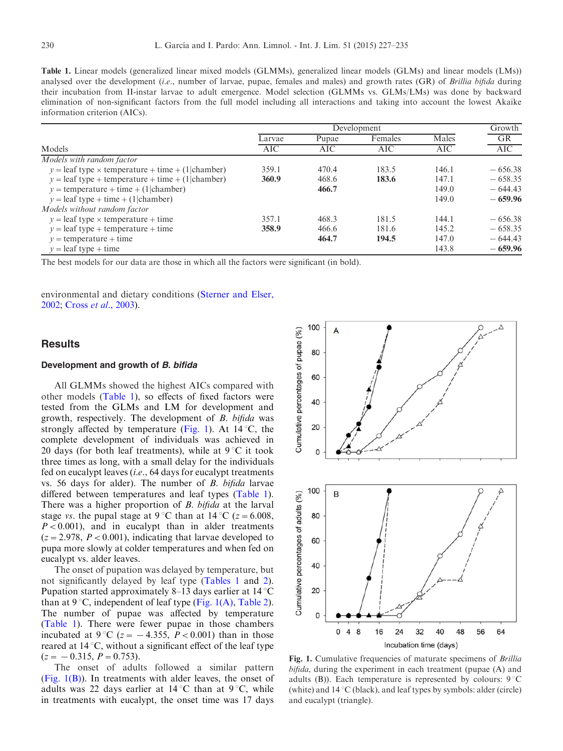<span id="page-3-0"></span>Table 1. Linear models (generalized linear mixed models (GLMMs), generalized linear models (GLMs) and linear models (LMs)) analysed over the development (i.e., number of larvae, pupae, females and males) and growth rates (GR) of Brillia bifida during their incubation from II-instar larvae to adult emergence. Model selection (GLMMs vs. GLMs/LMs) was done by backward elimination of non-significant factors from the full model including all interactions and taking into account the lowest Akaike information criterion (AICs).

|                                                           | Development |       |            | Growth |           |
|-----------------------------------------------------------|-------------|-------|------------|--------|-----------|
|                                                           | Larvae      | Pupae | Females    | Males  | <b>GR</b> |
| Models                                                    | AIC         | AIC   | <b>AIC</b> | AIC    | AIC       |
| Models with random factor                                 |             |       |            |        |           |
| $v =$ leaf type $\times$ temperature + time + (1 chamber) | 359.1       | 470.4 | 183.5      | 146.1  | $-656.38$ |
| $y =$ leaf type + temperature + time + (1 chamber)        | 360.9       | 468.6 | 183.6      | 147.1  | $-658.35$ |
| $y =$ temperature + time + (1 chamber)                    |             | 466.7 |            | 149.0  | $-644.43$ |
| $y =$ leaf type + time + (1 chamber)                      |             |       |            | 149.0  | $-659.96$ |
| Models without random factor                              |             |       |            |        |           |
| $y =$ leaf type $\times$ temperature + time               | 357.1       | 468.3 | 181.5      | 144.1  | $-656.38$ |
| $y =$ leaf type + temperature + time                      | 358.9       | 466.6 | 181.6      | 145.2  | $-658.35$ |
| $v =$ temperature + time                                  |             | 464.7 | 194.5      | 147.0  | $-644.43$ |
| $v =$ leaf type + time                                    |             |       |            | 143.8  | $-659.96$ |

The best models for our data are those in which all the factors were significant (in bold).

environmental and dietary conditions [\(Sterner and Elser,](#page-8-0) [2002](#page-8-0); Cross et al[., 2003](#page-7-0)).

# **Results**

## Development and growth of B. bifida

All GLMMs showed the highest AICs compared with other models (Table 1), so effects of fixed factors were tested from the GLMs and LM for development and growth, respectively. The development of B. bifida was strongly affected by temperature (Fig. 1). At  $14^{\circ}$ C, the complete development of individuals was achieved in 20 days (for both leaf treatments), while at  $9^{\circ}C$  it took three times as long, with a small delay for the individuals fed on eucalypt leaves (i.e., 64 days for eucalypt treatments vs. 56 days for alder). The number of B. bifida larvae differed between temperatures and leaf types (Table 1). There was a higher proportion of B. bifida at the larval stage vs. the pupal stage at 9 °C than at 14 °C ( $z=6.008$ ,  $P < 0.001$ ), and in eucalypt than in alder treatments  $(z=2.978, P<0.001)$ , indicating that larvae developed to pupa more slowly at colder temperatures and when fed on eucalypt vs. alder leaves.

The onset of pupation was delayed by temperature, but not significantly delayed by leaf type (Tables 1 and [2\)](#page-4-0). Pupation started approximately 8–13 days earlier at  $14^{\circ}$ C than at  $9^{\circ}$ C, independent of leaf type (Fig. 1(A), [Table 2\)](#page-4-0). The number of pupae was affected by temperature (Table 1). There were fewer pupae in those chambers incubated at 9 °C ( $z = -4.355$ ,  $P < 0.001$ ) than in those reared at  $14\textdegree C$ , without a significant effect of the leaf type  $(z=-0.315, P=0.753).$ 

The onset of adults followed a similar pattern  $(Fig. 1(B))$ . In treatments with alder leaves, the onset of adults was 22 days earlier at  $14^{\circ}$ C than at 9 °C, while in treatments with eucalypt, the onset time was 17 days



Fig. 1. Cumulative frequencies of maturate specimens of Brillia bifida, during the experiment in each treatment (pupae (A) and adults (B)). Each temperature is represented by colours:  $9^{\circ}$ C (white) and  $14 \degree C$  (black), and leaf types by symbols: alder (circle) and eucalypt (triangle).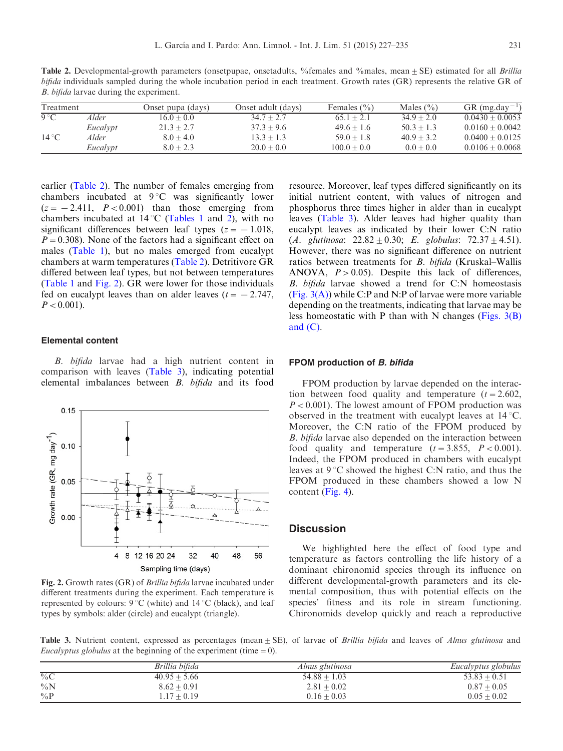<span id="page-4-0"></span>Table 2. Developmental-growth parameters (onsetpupae, onsetadults, %females and %males, mean + SE) estimated for all *Brillia* bifida individuals sampled during the whole incubation period in each treatment. Growth rates (GR) represents the relative GR of B. bifida larvae during the experiment.

| Treatment      |          | Onset pupa (days) | Onset adult (days) | Females $(\% )$ | Males $(\% )$ | $GR$ (mg.day <sup>-1</sup> ) |
|----------------|----------|-------------------|--------------------|-----------------|---------------|------------------------------|
| $9^{\circ}$ C  | Alder    | $16.0 + 0.0$      | $34.7 + 2.7$       | $65.1 + 2.1$    | $34.9 + 2.0$  | $0.0430 + 0.0053$            |
|                | Eucalypt | $21.3 + 2.7$      | $37.3 + 9.6$       | $49.6 + 1.6$    | $50.3 + 1.3$  | $0.0160 + 0.0042$            |
| $14^{\circ}$ C | Alder    | $8.0 + 4.0$       | $13.3 + 1.3$       | $59.0 + 1.8$    | $40.9 + 3.2$  | $0.0400 + 0.0125$            |
|                | Eucalypt | $8.0 + 2.3$       | $20.0 + 0.0$       | $100.0 + 0.0$   | $0.0 + 0.0$   | $0.0106 + 0.0068$            |

earlier (Table 2). The number of females emerging from chambers incubated at  $9^{\circ}C$  was significantly lower  $(z = -2.411, P < 0.001)$  than those emerging from chambers incubated at  $14^{\circ}$ C ([Tables 1](#page-3-0) and 2), with no significant differences between leaf types  $(z = -1.018$ ,  $P=0.308$ ). None of the factors had a significant effect on males [\(Table 1\)](#page-3-0), but no males emerged from eucalypt chambers at warm temperatures (Table 2). Detritivore GR differed between leaf types, but not between temperatures ([Table 1](#page-3-0) and Fig. 2). GR were lower for those individuals fed on eucalypt leaves than on alder leaves ( $t = -2.747$ ,  $P < 0.001$ ).

## Elemental content

B. bifida larvae had a high nutrient content in comparison with leaves (Table 3), indicating potential elemental imbalances between B. bifida and its food



Fig. 2. Growth rates (GR) of Brillia bifida larvae incubated under different treatments during the experiment. Each temperature is represented by colours:  $9^{\circ}C$  (white) and  $14^{\circ}C$  (black), and leaf types by symbols: alder (circle) and eucalypt (triangle).

resource. Moreover, leaf types differed significantly on its initial nutrient content, with values of nitrogen and phosphorus three times higher in alder than in eucalypt leaves (Table 3). Alder leaves had higher quality than eucalypt leaves as indicated by their lower C:N ratio (A. glutinosa:  $22.82 \pm 0.30$ ; E. globulus:  $72.37 \pm 4.51$ ). However, there was no significant difference on nutrient ratios between treatments for B. bifida (Kruskal–Wallis ANOVA,  $P > 0.05$ ). Despite this lack of differences, B. bifida larvae showed a trend for C:N homeostasis ([Fig. 3\(A\)](#page-5-0)) while C:P and N:P of larvae were more variable depending on the treatments, indicating that larvae may be less homeostatic with P than with N changes (Figs.  $3(B)$ ) [and \(C\)](#page-5-0).

## FPOM production of B. bifida

FPOM production by larvae depended on the interaction between food quality and temperature  $(t=2.602,$  $P < 0.001$ ). The lowest amount of FPOM production was observed in the treatment with eucalypt leaves at  $14^{\circ}$ C. Moreover, the C:N ratio of the FPOM produced by B. bifida larvae also depended on the interaction between food quality and temperature  $(t=3.855, P<0.001)$ . Indeed, the FPOM produced in chambers with eucalypt leaves at  $9^{\circ}C$  showed the highest C:N ratio, and thus the FPOM produced in these chambers showed a low N content ([Fig. 4](#page-5-0)).

# **Discussion**

We highlighted here the effect of food type and temperature as factors controlling the life history of a dominant chironomid species through its influence on different developmental-growth parameters and its elemental composition, thus with potential effects on the species' fitness and its role in stream functioning. Chironomids develop quickly and reach a reproductive

**Table 3.** Nutrient content, expressed as percentages (mean  $+$  SE), of larvae of *Brillia bifida* and leaves of *Alnus glutinosa* and Eucalyptus globulus at the beginning of the experiment (time =  $0$ ).

|       | Brillia bifida | Alnus glutinosa | Eucalyptus globulus |  |
|-------|----------------|-----------------|---------------------|--|
| $\%C$ | $40.95 + 5.66$ | $54.88 + 1.03$  | $53.83 + 0.51$      |  |
| $\%N$ | $8.62 + 0.91$  | $2.81 + 0.02$   | $0.87 + 0.05$       |  |
| $\%P$ | $1.17 + 0.19$  | $0.16 + 0.03$   | $0.05 + 0.02$       |  |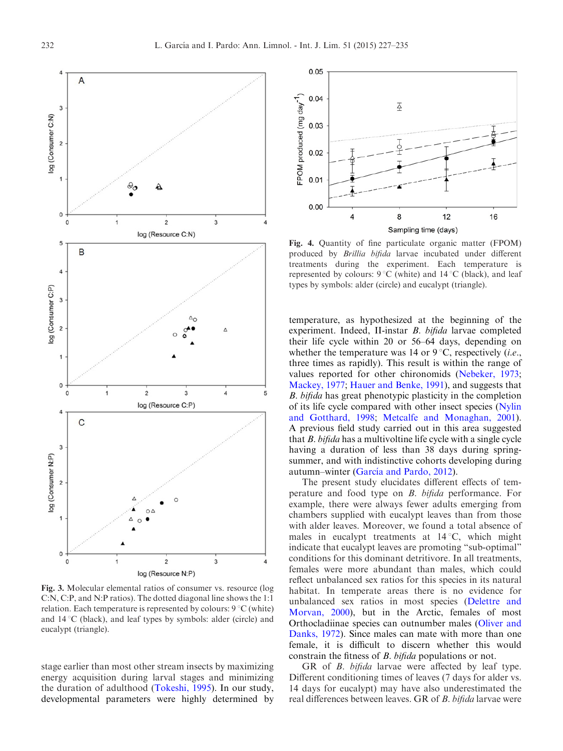<span id="page-5-0"></span>

Fig. 3. Molecular elemental ratios of consumer vs. resource (log C:N, C:P, and N:P ratios). The dotted diagonal line shows the 1:1 relation. Each temperature is represented by colours:  $9^{\circ}C$  (white) and  $14\degree$ C (black), and leaf types by symbols: alder (circle) and eucalypt (triangle).

stage earlier than most other stream insects by maximizing energy acquisition during larval stages and minimizing the duration of adulthood [\(Tokeshi, 1995](#page-8-0)). In our study, developmental parameters were highly determined by



Fig. 4. Quantity of fine particulate organic matter (FPOM) produced by Brillia bifida larvae incubated under different treatments during the experiment. Each temperature is represented by colours:  $9^{\circ}C$  (white) and  $14^{\circ}C$  (black), and leaf types by symbols: alder (circle) and eucalypt (triangle).

temperature, as hypothesized at the beginning of the experiment. Indeed, II-instar B. bifida larvae completed their life cycle within 20 or 56–64 days, depending on whether the temperature was 14 or  $9^{\circ}$ C, respectively (*i.e.*, three times as rapidly). This result is within the range of values reported for other chironomids [\(Nebeker, 1973](#page-7-0); [Mackey, 1977;](#page-7-0) [Hauer and Benke, 1991\)](#page-7-0), and suggests that B. bifida has great phenotypic plasticity in the completion of its life cycle compared with other insect species ([Nylin](#page-7-0) [and Gotthard, 1998](#page-7-0); [Metcalfe and Monaghan, 2001\)](#page-7-0). A previous field study carried out in this area suggested that B. bifida has a multivoltine life cycle with a single cycle having a duration of less than 38 days during springsummer, and with indistinctive cohorts developing during autumn–winter (García and Pardo, 2012).

The present study elucidates different effects of temperature and food type on B. bifida performance. For example, there were always fewer adults emerging from chambers supplied with eucalypt leaves than from those with alder leaves. Moreover, we found a total absence of males in eucalypt treatments at  $14\degree C$ , which might indicate that eucalypt leaves are promoting "sub-optimal" conditions for this dominant detritivore. In all treatments, females were more abundant than males, which could reflect unbalanced sex ratios for this species in its natural habitat. In temperate areas there is no evidence for unbalanced sex ratios in most species [\(Delettre and](#page-7-0) [Morvan, 2000\)](#page-7-0), but in the Arctic, females of most Orthocladiinae species can outnumber males ([Oliver and](#page-7-0) [Danks, 1972\)](#page-7-0). Since males can mate with more than one female, it is difficult to discern whether this would constrain the fitness of B. bifida populations or not.

GR of *B. bifida* larvae were affected by leaf type. Different conditioning times of leaves (7 days for alder vs. 14 days for eucalypt) may have also underestimated the real differences between leaves. GR of B. bifida larvae were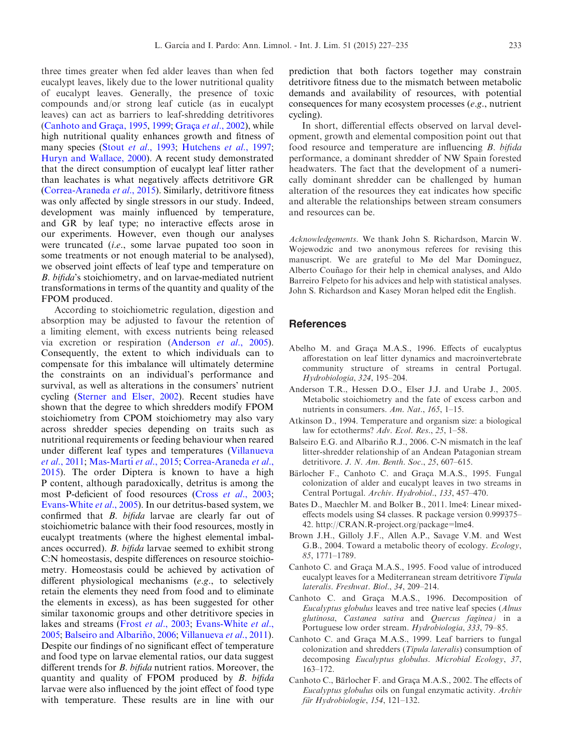<span id="page-6-0"></span>three times greater when fed alder leaves than when fed eucalypt leaves, likely due to the lower nutritional quality of eucalypt leaves. Generally, the presence of toxic compounds and/or strong leaf cuticle (as in eucalypt leaves) can act as barriers to leaf-shredding detritivores (Canhoto and Graça, 1995, 1999; Graça et al[., 2002](#page-7-0)), while high nutritional quality enhances growth and fitness of many species (Stout et al[., 1993](#page-8-0); [Hutchens](#page-7-0) et al., 1997; [Huryn and Wallace, 2000\)](#page-7-0). A recent study demonstrated that the direct consumption of eucalypt leaf litter rather than leachates is what negatively affects detritivore GR ([Correa-Araneda](#page-7-0) et al., 2015). Similarly, detritivore fitness was only affected by single stressors in our study. Indeed, development was mainly influenced by temperature, and GR by leaf type; no interactive effects arose in our experiments. However, even though our analyses were truncated (i.e., some larvae pupated too soon in some treatments or not enough material to be analysed), we observed joint effects of leaf type and temperature on B. bifida's stoichiometry, and on larvae-mediated nutrient transformations in terms of the quantity and quality of the FPOM produced.

According to stoichiometric regulation, digestion and absorption may be adjusted to favour the retention of a limiting element, with excess nutrients being released via excretion or respiration (Anderson et al., 2005). Consequently, the extent to which individuals can to compensate for this imbalance will ultimately determine the constraints on an individual's performance and survival, as well as alterations in the consumers' nutrient cycling ([Sterner and Elser, 2002\)](#page-8-0). Recent studies have shown that the degree to which shredders modify FPOM stoichiometry from CPOM stoichiometry may also vary across shredder species depending on traits such as nutritional requirements or feeding behaviour when reared under different leaf types and temperatures [\(Villanueva](#page-8-0) et al[., 2011](#page-8-0); Mas-Martí et al., 2015; [Correa-Araneda](#page-7-0) et al., [2015](#page-7-0)). The order Diptera is known to have a high P content, although paradoxically, detritus is among the most P-deficient of food resources (Cross et al[., 2003;](#page-7-0) [Evans-White](#page-7-0) et al., 2005). In our detritus-based system, we confirmed that B. bifida larvae are clearly far out of stoichiometric balance with their food resources, mostly in eucalypt treatments (where the highest elemental imbalances occurred). B. bifida larvae seemed to exhibit strong C:N homeostasis, despite differences on resource stoichiometry. Homeostasis could be achieved by activation of different physiological mechanisms (e.g., to selectively retain the elements they need from food and to eliminate the elements in excess), as has been suggested for other similar taxonomic groups and other detritivore species in lakes and streams (Frost et al[., 2003;](#page-7-0) [Evans-White](#page-7-0) et al., [2005](#page-7-0); Balseiro and Albariño, 2006; [Villanueva](#page-8-0) et al., 2011). Despite our findings of no significant effect of temperature and food type on larvae elemental ratios, our data suggest different trends for B. bifida nutrient ratios. Moreover, the quantity and quality of FPOM produced by B. bifida larvae were also influenced by the joint effect of food type with temperature. These results are in line with our prediction that both factors together may constrain detritivore fitness due to the mismatch between metabolic demands and availability of resources, with potential consequences for many ecosystem processes (e.g., nutrient cycling).

In short, differential effects observed on larval development, growth and elemental composition point out that food resource and temperature are influencing B. bifida performance, a dominant shredder of NW Spain forested headwaters. The fact that the development of a numerically dominant shredder can be challenged by human alteration of the resources they eat indicates how specific and alterable the relationships between stream consumers and resources can be.

Acknowledgements. We thank John S. Richardson, Marcin W. Wojewodzic and two anonymous referees for revising this manuscript. We are grateful to  $M\sigma$  del Mar Dominguez, Alberto Couñago for their help in chemical analyses, and Aldo Barreiro Felpeto for his advices and help with statistical analyses. John S. Richardson and Kasey Moran helped edit the English.

# **References**

- Abelho M. and Graca M.A.S., 1996. Effects of eucalyptus afforestation on leaf litter dynamics and macroinvertebrate community structure of streams in central Portugal. Hydrobiologia, 324, 195–204.
- Anderson T.R., Hessen D.O., Elser J.J. and Urabe J., 2005. Metabolic stoichiometry and the fate of excess carbon and nutrients in consumers. Am. Nat., 165, 1-15.
- Atkinson D., 1994. Temperature and organism size: a biological law for ectotherms? Adv. Ecol. Res., 25, 1–58.
- Balseiro E.G. and Albariño R.J., 2006. C-N mismatch in the leaf litter-shredder relationship of an Andean Patagonian stream detritivore. J. N. Am. Benth. Soc., 25, 607–615.
- Bärlocher F., Canhoto C. and Graca M.A.S., 1995. Fungal colonization of alder and eucalypt leaves in two streams in Central Portugal. Archiv. Hydrobiol., 133, 457–470.
- Bates D., Maechler M. and Bolker B., 2011. lme4: Linear mixedeffects models using S4 classes. R package version 0.999375– 42. http://CRAN.R-project.org/package=lme4.
- Brown J.H., Gilloly J.F., Allen A.P., Savage V.M. and West G.B., 2004. Toward a metabolic theory of ecology. Ecology, 85, 1771–1789.
- Canhoto C. and Graça M.A.S., 1995. Food value of introduced eucalypt leaves for a Mediterranean stream detritivore Tipula lateralis. Freshwat. Biol., 34, 209–214.
- Canhoto C. and Graça M.A.S., 1996. Decomposition of Eucalyptus globulus leaves and tree native leaf species (Alnus glutinosa, Castanea sativa and Quercus faginea) in a Portuguese low order stream. Hydrobiologia, 333, 79–85.
- Canhoto C. and Graça M.A.S., 1999. Leaf barriers to fungal colonization and shredders (Tipula lateralis) consumption of decomposing Eucalyptus globulus. Microbial Ecology, 37, 163–172.
- Canhoto C., Bärlocher F. and Graça M.A.S., 2002. The effects of Eucalyptus globulus oils on fungal enzymatic activity. Archiv für Hydrobiologie, 154, 121–132.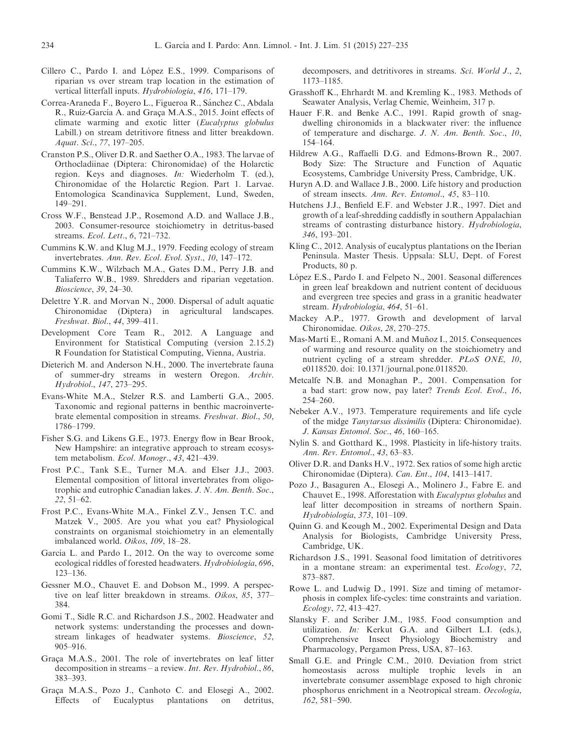- <span id="page-7-0"></span>Cillero C., Pardo I. and López E.S., 1999. Comparisons of riparian vs over stream trap location in the estimation of vertical litterfall inputs. Hydrobiologia, 416, 171–179.
- Correa-Araneda F., Boyero L., Figueroa R., Sánchez C., Abdala R., Ruiz-García A. and Graca M.A.S., 2015. Joint effects of climate warming and exotic litter (Eucalyptus globulus Labill.) on stream detritivore fitness and litter breakdown. Aquat. Sci., 77, 197–205.
- Cranston P.S., Oliver D.R. and Saether O.A., 1983. The larvae of Orthocladiinae (Diptera: Chironomidae) of the Holarctic region. Keys and diagnoses. In: Wiederholm T. (ed.), Chironomidae of the Holarctic Region. Part 1. Larvae. Entomologica Scandinavica Supplement, Lund, Sweden, 149–291.
- Cross W.F., Benstead J.P., Rosemond A.D. and Wallace J.B., 2003. Consumer-resource stoichiometry in detritus-based streams. Ecol. Lett., 6, 721–732.
- Cummins K.W. and Klug M.J., 1979. Feeding ecology of stream invertebrates. Ann. Rev. Ecol. Evol. Syst., 10, 147–172.
- Cummins K.W., Wilzbach M.A., Gates D.M., Perry J.B. and Taliaferro W.B., 1989. Shredders and riparian vegetation. Bioscience, 39, 24–30.
- Delettre Y.R. and Morvan N., 2000. Dispersal of adult aquatic Chironomidae (Diptera) in agricultural landscapes. Freshwat. Biol., 44, 399–411.
- Development Core Team R., 2012. A Language and Environment for Statistical Computing (version 2.15.2) R Foundation for Statistical Computing, Vienna, Austria.
- Dieterich M. and Anderson N.H., 2000. The invertebrate fauna of summer-dry streams in western Oregon. Archiv. Hydrobiol., 147, 273–295.
- Evans-White M.A., Stelzer R.S. and Lamberti G.A., 2005. Taxonomic and regional patterns in benthic macroinvertebrate elemental composition in streams. Freshwat. Biol., 50, 1786–1799.
- Fisher S.G. and Likens G.E., 1973. Energy flow in Bear Brook, New Hampshire: an integrative approach to stream ecosystem metabolism. Ecol. Monogr., 43, 421–439.
- Frost P.C., Tank S.E., Turner M.A. and Elser J.J., 2003. Elemental composition of littoral invertebrates from oligotrophic and eutrophic Canadian lakes. J. N. Am. Benth. Soc., 22, 51–62.
- Frost P.C., Evans-White M.A., Finkel Z.V., Jensen T.C. and Matzek V., 2005. Are you what you eat? Physiological constraints on organismal stoichiometry in an elementally imbalanced world. Oikos, 109, 18–28.
- García L. and Pardo I., 2012. On the way to overcome some ecological riddles of forested headwaters. Hydrobiologia, 696, 123–136.
- Gessner M.O., Chauvet E. and Dobson M., 1999. A perspective on leaf litter breakdown in streams. Oikos, 85, 377– 384.
- Gomi T., Sidle R.C. and Richardson J.S., 2002. Headwater and network systems: understanding the processes and downstream linkages of headwater systems. Bioscience, 52, 905–916.
- Graça M.A.S., 2001. The role of invertebrates on leaf litter decomposition in streams – a review. Int. Rev. Hydrobiol., 86, 383–393.
- Graça M.A.S., Pozo J., Canhoto C. and Elosegi A., 2002. Effects of Eucalyptus plantations on detritus,

decomposers, and detritivores in streams. Sci. World J., 2, 1173–1185.

- Grasshoff K., Ehrhardt M. and Kremling K., 1983. Methods of Seawater Analysis, Verlag Chemie, Weinheim, 317 p.
- Hauer F.R. and Benke A.C., 1991. Rapid growth of snagdwelling chironomids in a blackwater river: the influence of temperature and discharge. J. N. Am. Benth. Soc., 10, 154–164.
- Hildrew A.G., Raffaelli D.G. and Edmons-Brown R., 2007. Body Size: The Structure and Function of Aquatic Ecosystems, Cambridge University Press, Cambridge, UK.
- Huryn A.D. and Wallace J.B., 2000. Life history and production of stream insects. Ann. Rev. Entomol., 45, 83–110.
- Hutchens J.J., Benfield E.F. and Webster J.R., 1997. Diet and growth of a leaf-shredding caddisfly in southern Appalachian streams of contrasting disturbance history. Hydrobiologia, 346, 193–201.
- Kling C., 2012. Analysis of eucalyptus plantations on the Iberian Peninsula. Master Thesis. Uppsala: SLU, Dept. of Forest Products, 80 p.
- López E.S., Pardo I. and Felpeto N., 2001. Seasonal differences in green leaf breakdown and nutrient content of deciduous and evergreen tree species and grass in a granitic headwater stream. Hydrobiologia, 464, 51–61.
- Mackey A.P., 1977. Growth and development of larval Chironomidae. Oikos, 28, 270–275.
- Mas-Martí E., Romaní A.M. and Muñoz I., 2015. Consequences of warming and resource quality on the stoichiometry and nutrient cycling of a stream shredder. PLoS ONE, 10, e0118520. doi: 10.1371/journal.pone.0118520.
- Metcalfe N.B. and Monaghan P., 2001. Compensation for a bad start: grow now, pay later? Trends Ecol. Evol., 16, 254–260.
- Nebeker A.V., 1973. Temperature requirements and life cycle of the midge Tanytarsus dissimilis (Diptera: Chironomidae). J. Kansas Entomol. Soc., 46, 160–165.
- Nylin S. and Gotthard K., 1998. Plasticity in life-history traits. Ann. Rev. Entomol., 43, 63–83.
- Oliver D.R. and Danks H.V., 1972. Sex ratios of some high arctic Chironomidae (Diptera). Can. Ent., 104, 1413–1417.
- Pozo J., Basaguren A., Elosegi A., Molinero J., Fabre E. and Chauvet E., 1998. Afforestation with Eucalyptus globulus and leaf litter decomposition in streams of northern Spain. Hydrobiologia, 373, 101–109.
- Quinn G. and Keough M., 2002. Experimental Design and Data Analysis for Biologists, Cambridge University Press, Cambridge, UK.
- Richardson J.S., 1991. Seasonal food limitation of detritivores in a montane stream: an experimental test. Ecology, 72, 873–887.
- Rowe L. and Ludwig D., 1991. Size and timing of metamorphosis in complex life-cycles: time constraints and variation. Ecology, 72, 413–427.
- Slansky F. and Scriber J.M., 1985. Food consumption and utilization. In: Kerkut G.A. and Gilbert L.I. (eds.), Comprehensive Insect Physiology Biochemistry and Pharmacology, Pergamon Press, USA, 87–163.
- Small G.E. and Pringle C.M., 2010. Deviation from strict homeostasis across multiple trophic levels in an invertebrate consumer assemblage exposed to high chronic phosphorus enrichment in a Neotropical stream. Oecologia, 162, 581–590.